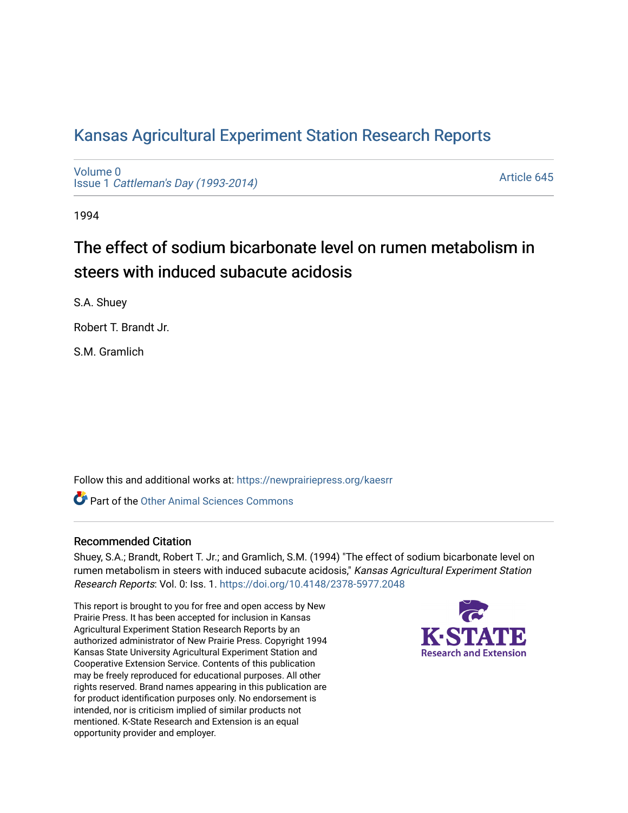## [Kansas Agricultural Experiment Station Research Reports](https://newprairiepress.org/kaesrr)

[Volume 0](https://newprairiepress.org/kaesrr/vol0) Issue 1 [Cattleman's Day \(1993-2014\)](https://newprairiepress.org/kaesrr/vol0/iss1) 

[Article 645](https://newprairiepress.org/kaesrr/vol0/iss1/645) 

1994

# The effect of sodium bicarbonate level on rumen metabolism in steers with induced subacute acidosis

S.A. Shuey

Robert T. Brandt Jr.

S.M. Gramlich

Follow this and additional works at: [https://newprairiepress.org/kaesrr](https://newprairiepress.org/kaesrr?utm_source=newprairiepress.org%2Fkaesrr%2Fvol0%2Fiss1%2F645&utm_medium=PDF&utm_campaign=PDFCoverPages) 

**C** Part of the [Other Animal Sciences Commons](http://network.bepress.com/hgg/discipline/82?utm_source=newprairiepress.org%2Fkaesrr%2Fvol0%2Fiss1%2F645&utm_medium=PDF&utm_campaign=PDFCoverPages)

#### Recommended Citation

Shuey, S.A.; Brandt, Robert T. Jr.; and Gramlich, S.M. (1994) "The effect of sodium bicarbonate level on rumen metabolism in steers with induced subacute acidosis," Kansas Agricultural Experiment Station Research Reports: Vol. 0: Iss. 1.<https://doi.org/10.4148/2378-5977.2048>

This report is brought to you for free and open access by New Prairie Press. It has been accepted for inclusion in Kansas Agricultural Experiment Station Research Reports by an authorized administrator of New Prairie Press. Copyright 1994 Kansas State University Agricultural Experiment Station and Cooperative Extension Service. Contents of this publication may be freely reproduced for educational purposes. All other rights reserved. Brand names appearing in this publication are for product identification purposes only. No endorsement is intended, nor is criticism implied of similar products not mentioned. K-State Research and Extension is an equal opportunity provider and employer.

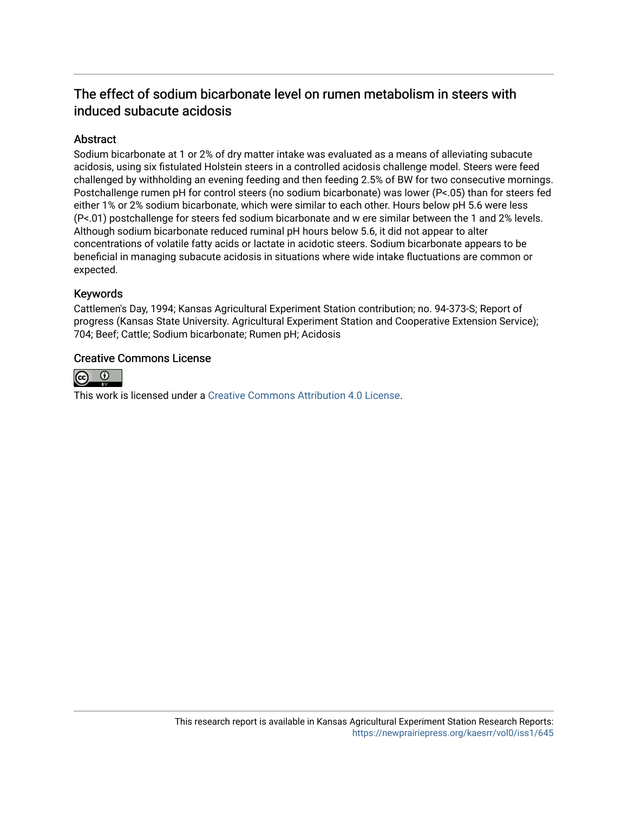### The effect of sodium bicarbonate level on rumen metabolism in steers with induced subacute acidosis

#### **Abstract**

Sodium bicarbonate at 1 or 2% of dry matter intake was evaluated as a means of alleviating subacute acidosis, using six fistulated Holstein steers in a controlled acidosis challenge model. Steers were feed challenged by withholding an evening feeding and then feeding 2.5% of BW for two consecutive mornings. Postchallenge rumen pH for control steers (no sodium bicarbonate) was lower (P<.05) than for steers fed either 1% or 2% sodium bicarbonate, which were similar to each other. Hours below pH 5.6 were less (P<.01) postchallenge for steers fed sodium bicarbonate and w ere similar between the 1 and 2% levels. Although sodium bicarbonate reduced ruminal pH hours below 5.6, it did not appear to alter concentrations of volatile fatty acids or lactate in acidotic steers. Sodium bicarbonate appears to be beneficial in managing subacute acidosis in situations where wide intake fluctuations are common or expected.

#### Keywords

Cattlemen's Day, 1994; Kansas Agricultural Experiment Station contribution; no. 94-373-S; Report of progress (Kansas State University. Agricultural Experiment Station and Cooperative Extension Service); 704; Beef; Cattle; Sodium bicarbonate; Rumen pH; Acidosis

#### Creative Commons License



This work is licensed under a [Creative Commons Attribution 4.0 License](https://creativecommons.org/licenses/by/4.0/).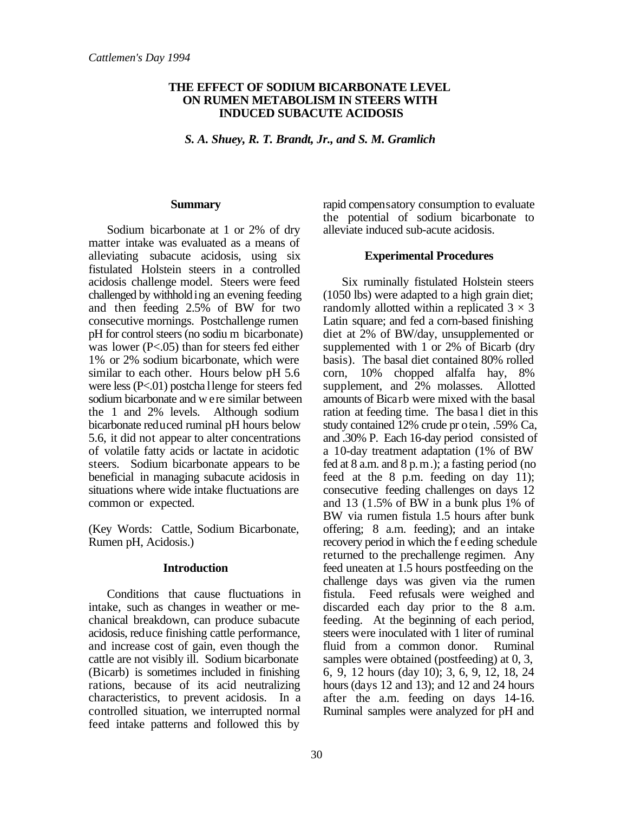#### **THE EFFECT OF SODIUM BICARBONATE LEVEL ON RUMEN METABOLISM IN STEERS WITH INDUCED SUBACUTE ACIDOSIS**

*S. A. Shuey, R. T. Brandt, Jr., and S. M. Gramlich*

#### **Summary**

Sodium bicarbonate at 1 or 2% of dry matter intake was evaluated as a means of alleviating subacute acidosis, using six fistulated Holstein steers in a controlled acidosis challenge model. Steers were feed challenged by withholding an evening feeding and then feeding 2.5% of BW for two consecutive mornings. Postchallenge rumen pH for control steers (no sodiu m bicarbonate) was lower (P<.05) than for steers fed either 1% or 2% sodium bicarbonate, which were similar to each other. Hours below pH 5.6 were less (P<.01) postcha llenge for steers fed sodium bicarbonate and w ere similar between the 1 and 2% levels. Although sodium bicarbonate reduced ruminal pH hours below 5.6, it did not appear to alter concentrations of volatile fatty acids or lactate in acidotic steers. Sodium bicarbonate appears to be beneficial in managing subacute acidosis in situations where wide intake fluctuations are common or expected.

(Key Words: Cattle, Sodium Bicarbonate, Rumen pH, Acidosis.)

#### **Introduction**

Conditions that cause fluctuations in intake, such as changes in weather or mechanical breakdown, can produce subacute acidosis, reduce finishing cattle performance, and increase cost of gain, even though the cattle are not visibly ill. Sodium bicarbonate (Bicarb) is sometimes included in finishing rations, because of its acid neutralizing characteristics, to prevent acidosis. In a controlled situation, we interrupted normal feed intake patterns and followed this by

rapid compensatory consumption to evaluate the potential of sodium bicarbonate to alleviate induced sub-acute acidosis.

#### **Experimental Procedures**

Six ruminally fistulated Holstein steers (1050 lbs) were adapted to a high grain diet; randomly allotted within a replicated  $3 \times 3$ Latin square; and fed a corn-based finishing diet at 2% of BW/day, unsupplemented or supplemented with 1 or 2% of Bicarb (dry basis). The basal diet contained 80% rolled corn, 10% chopped alfalfa hay, 8% supplement, and 2% molasses. Allotted amounts of Bicarb were mixed with the basal ration at feeding time. The basa l diet in this study contained 12% crude pr otein, .59% Ca, and .30% P. Each 16-day period consisted of a 10-day treatment adaptation (1% of BW fed at 8 a.m. and 8 p.m.); a fasting period (no feed at the 8 p.m. feeding on day 11); consecutive feeding challenges on days 12 and 13 (1.5% of BW in a bunk plus 1% of BW via rumen fistula 1.5 hours after bunk offering; 8 a.m. feeding); and an intake recovery period in which the f e eding schedule returned to the prechallenge regimen. Any feed uneaten at 1.5 hours postfeeding on the challenge days was given via the rumen fistula. Feed refusals were weighed and discarded each day prior to the 8 a.m. feeding. At the beginning of each period, steers were inoculated with 1 liter of ruminal fluid from a common donor. Ruminal samples were obtained (postfeeding) at 0, 3, 6, 9, 12 hours (day 10); 3, 6, 9, 12, 18, 24 hours (days 12 and 13); and 12 and 24 hours after the a.m. feeding on days 14-16. Ruminal samples were analyzed for pH and